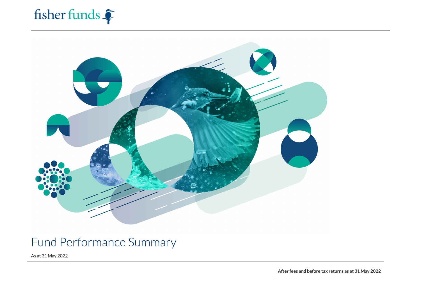# fisher funds



# Fund Performance Summary

As at 31 May 2022

After fees and before tax returns as at 31 May 2022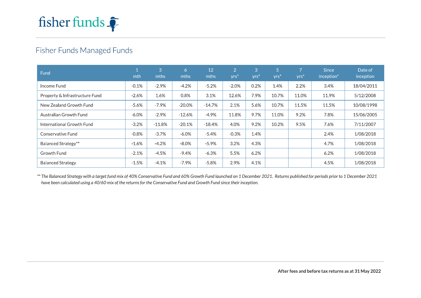

# Fisher Funds Managed Funds

| Fund                           | mth     | 3<br>mths | 6<br>mths | 12<br>mths | $\overline{2}$<br>yrs <sup>*</sup> | 3<br>$Vrs$ <sup>*</sup> | /57<br>yrs <sup>'</sup> | $Vrs$ <sup>*</sup> | <b>Since</b><br>inception <sup>*</sup> | Date of<br>inception |
|--------------------------------|---------|-----------|-----------|------------|------------------------------------|-------------------------|-------------------------|--------------------|----------------------------------------|----------------------|
| Income Fund                    | $-0.1%$ | $-2.9%$   | $-4.2%$   | $-5.2%$    | $-2.0%$                            | 0.2%                    | 1.4%                    | 2.2%               | 3.4%                                   | 18/04/2011           |
| Property & Infrastructure Fund | $-2.6%$ | 1.6%      | 0.8%      | 3.1%       | 12.6%                              | 7.9%                    | 10.7%                   | 11.0%              | 11.9%                                  | 5/12/2008            |
| New Zealand Growth Fund        | $-5.6%$ | $-7.9%$   | $-20.0\%$ | $-14.7%$   | 2.1%                               | 5.6%                    | 10.7%                   | 11.5%              | 11.5%                                  | 10/08/1998           |
| Australian Growth Fund         | $-6.0%$ | $-2.9%$   | $-12.6%$  | $-4.9%$    | 11.8%                              | 9.7%                    | 11.0%                   | 9.2%               | 7.8%                                   | 15/06/2005           |
| International Growth Fund      | $-3.2%$ | $-11.8\%$ | $-20.1%$  | $-18.4%$   | 4.0%                               | 9.2%                    | 10.2%                   | 9.5%               | 7.6%                                   | 7/11/2007            |
| Conservative Fund              | $-0.8%$ | $-3.7%$   | $-6.0%$   | $-5.4%$    | $-0.3%$                            | 1.4%                    |                         |                    | 2.4%                                   | 1/08/2018            |
| Balanced Strategy**            | $-1.6%$ | $-4.2%$   | $-8.0\%$  | $-5.9%$    | 3.2%                               | 4.3%                    |                         |                    | 4.7%                                   | 1/08/2018            |
| Growth Fund                    | $-2.1%$ | $-4.5%$   | $-9.4%$   | $-6.3%$    | 5.5%                               | 6.2%                    |                         |                    | 6.2%                                   | 1/08/2018            |
| <b>Balanced Strategy</b>       | $-1.5%$ | $-4.1%$   | $-7.9\%$  | $-5.8%$    | 2.9%                               | 4.1%                    |                         |                    | 4.5%                                   | 1/08/2018            |

\*\* The Balanced Strategy with a target fund mix of 40% Conservative Fund and 60% Growth Fund launched on 1 December 2021. Returns published for periods prior to 1 December 2021 have been calculated using a 40/60 mix of the returns for the Conservative Fund and Growth Fund since their inception.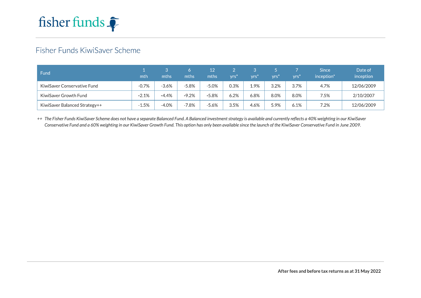

# Fisher Funds KiwiSaver Scheme

| Fund                          | mth     | mths    | mths    | 12<br>mths | vrs) | vrs  | vrsi | vrs) | <b>Since</b><br>inception <sup>*</sup> | Date of<br>inception |
|-------------------------------|---------|---------|---------|------------|------|------|------|------|----------------------------------------|----------------------|
| KiwiSaver Conservative Fund   | $-0.7%$ | $-3.6%$ | $-5.8%$ | $-5.0%$    | 0.3% | 1.9% | 3.2% | 3.7% | 4.7%                                   | 12/06/2009           |
| KiwiSaver Growth Fund         | $-2.1%$ | $-4.4%$ | $-9.2%$ | $-5.8%$    | 6.2% | 6.8% | 8.0% | 8.0% | 7.5%                                   | 2/10/2007            |
| KiwiSaver Balanced Strategy++ | $-1.5%$ | $-4.0%$ | $-7.8%$ | $-5.6%$    | 3.5% | 4.6% | 5.9% | 6.1% | 7.2%                                   | 12/06/2009           |

++ The Fisher Funds KiwiSaver Scheme does not have a separate Balanced Fund. A Balanced investment strategy is available and currently reflects a 40% weighting in our KiwiSaver Conservative Fund and a 60% weighting in our KiwiSaver Growth Fund. This option has only been available since the launch of the KiwiSaver Conservative Fund in June 2009.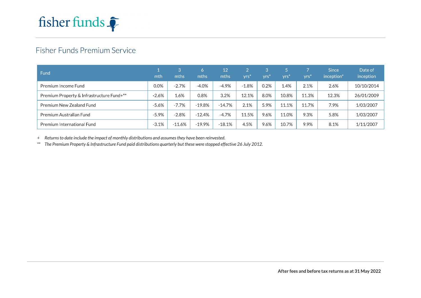

# Fisher Funds Premium Service

| Fund                                      | mth      | 3<br>mths | <sup>n</sup><br>mths | 12<br>mths | VTS <sup>3</sup> | vrs     | <b>yrs</b> | yrs)  | <b>Since</b><br>inception <sup>*</sup> | Date of<br>inception |
|-------------------------------------------|----------|-----------|----------------------|------------|------------------|---------|------------|-------|----------------------------------------|----------------------|
| Premium Income Fund                       | $0.0\%$  | $-2.7%$   | $-4.0%$              | $-4.9%$    | $-1.8%$          | $0.2\%$ | 1.4%       | 2.1%  | 2.6%                                   | 10/10/2014           |
| Premium Property & Infrastructure Fund+** | $-2.6%$  | 1.6%      | 0.8%                 | 3.2%       | 2.1%             | 8.0%    | 10.8%      | 11.3% | 12.3%                                  | 26/01/2009           |
| Premium New Zealand Fund                  | $-5.6%$  | $-7.7%$   | $-19.8%$             | $-14.7%$   | 2.1%             | 5.9%    | 11.1%      | 11.7% | 7.9%                                   | 1/03/2007            |
| Premium Australian Fund                   | $-5.9\%$ | $-2.8%$   | $-12.4\%$            | $-4.7\%$   | 11.5%            | 9.6%    | 11.0%      | 9.3%  | 5.8%                                   | 1/03/2007            |
| Premium International Fund                | $-3.1%$  | $-11.6\%$ | -19.9%               | $-18.1%$   | 4.5%             | 9.6%    | 10.7%      | 9.9%  | 8.1%                                   | 1/11/2007            |

+ Returns to date include the impact of monthly distributions and assumes they have been reinvested.

\*\* The Premium Property & Infrastructure Fund paid distributions quarterly but these were stopped effective 26 July 2012.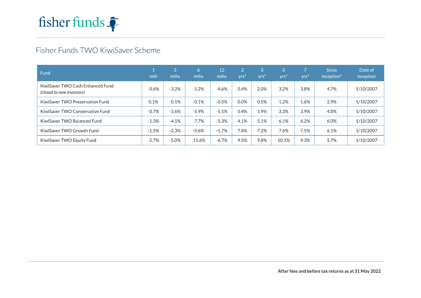

# Fisher Funds TWO KiwiSaver Scheme

| Fund                                                          | mth     | Ι3ι<br>mths | 6<br>mths | 12<br>mths | $\overline{2}$<br>$Yrs^*$ | 3<br>yrs <sup>*</sup> | 5<br>yrs* | yrs' | <b>Since</b><br>inception <sup>*</sup> | Date of<br>inception |
|---------------------------------------------------------------|---------|-------------|-----------|------------|---------------------------|-----------------------|-----------|------|----------------------------------------|----------------------|
| KiwiSaver TWO Cash Enhanced Fund<br>(closed to new investors) | $-0.6%$ | $-3.2%$     | $-5.2%$   | $-4.6%$    | 0.4%                      | 2.0%                  | 3.2%      | 3.8% | 4.7%                                   | 1/10/2007            |
| KiwiSaver TWO Preservation Fund                               | 0.1%    | $-0.1%$     | $-0.1%$   | $-0.5%$    | $0.0\%$                   | 0.5%                  | 1.2%      | 1.6% | 2.9%                                   | 1/10/2007            |
| KiwiSaver TWO Conservative Fund                               | $-0.7%$ | $-3.6%$     | $-5.9%$   | $-5.1%$    | 0.4%                      | 1.9%                  | 3.3%      | 3.9% | 4.8%                                   | 1/10/2007            |
| KiwiSaver TWO Balanced Fund                                   | $-1.3%$ | $-4.1%$     | $-7.7%$   | $-5.3%$    | 4.1%                      | 5.1%                  | 6.1%      | 6.2% | 6.0%                                   | 1/10/2007            |
| KiwiSaver TWO Growth Fund                                     | $-1.5%$ | $-2.3%$     | $-5.6%$   | $-1.7%$    | 7.8%                      | 7.2%                  | 7.6%      | 7.5% | 6.1%                                   | 1/10/2007            |
| KiwiSaver TWO Equity Fund                                     | $-2.7%$ | $-5.0%$     | $-11.6%$  | $-6.7\%$   | 9.5%                      | 9.8%                  | 10.1%     | 9.3% | 5.7%                                   | 1/10/2007            |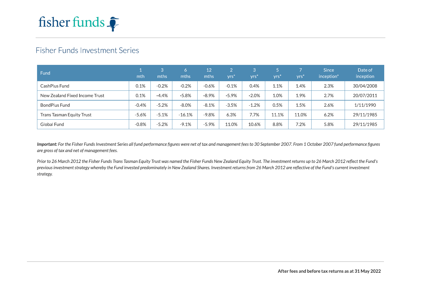

## **Fisher Funds Investment Series**

| Fund                             | mth     | 3<br>mths | 6.<br>mths | 12<br>mths | yrs <sup>*</sup> | vrs'    | yrs'  | yrs <sup>*</sup> | <b>Since</b><br>inception* | Date of<br>inception |
|----------------------------------|---------|-----------|------------|------------|------------------|---------|-------|------------------|----------------------------|----------------------|
| CashPlus Fund                    | 0.1%    | $-0.2%$   | $-0.2%$    | $-0.6%$    | $-0.1%$          | 0.4%    | 1.1%  | 1.4%             | 2.3%                       | 30/04/2008           |
| New Zealand Fixed Income Trust   | 0.1%    | $-4.4%$   | $-5.8%$    | $-8.9%$    | $-5.9%$          | $-2.0%$ | 1.0%  | 1.9%             | 2.7%                       | 20/07/2011           |
| BondPlus Fund                    | $-0.4%$ | $-5.2%$   | $-8.0%$    | $-8.1%$    | $-3.5%$          | $-1.2%$ | 0.5%  | 1.5%             | 2.6%                       | 1/11/1990            |
| <b>Trans Tasman Equity Trust</b> | $-5.6%$ | $-5.1%$   | $-16.1\%$  | $-9.8%$    | 6.3%             | 7.7%    | 11.1% | 11.0%            | 6.2%                       | 29/11/1985           |
| <b>Global Fund</b>               | $-0.8%$ | $-5.2%$   | $-9.1%$    | $-5.9%$    | 11.0%            | 10.6%   | 8.8%  | 7.2%             | 5.8%                       | 29/11/1985           |

Important: For the Fisher Funds Investment Series all fund performance figures were net of tax and management fees to 30 September 2007. From 1 October 2007 fund performance figures are gross of tax and net of management fees.

Prior to 26 March 2012 the Fisher Funds Trans Tasman Equity Trust was named the Fisher Funds New Zealand Equity Trust. The investment returns up to 26 March 2012 reflect the Fund's previous investment strategy whereby the Fund invested predominately in New Zealand Shares. Investment returns from 26 March 2012 are reflective of the Fund's current investment strategy.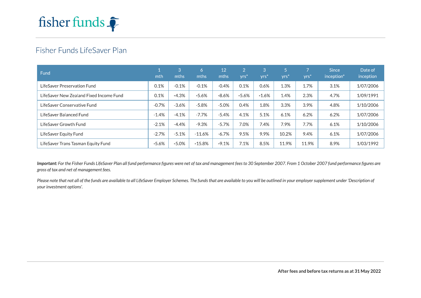

## Fisher Funds LifeSaver Plan

| Fund                                    | mth     | 3<br>mths | 6<br>mths | 12<br>mths | $\overline{2}$<br>yrs' | ΙЗ.<br>VTS <sup>3</sup> | 5<br>yrs <sup>*</sup> | 7<br>$Yrs$ <sup>*</sup> | <b>Since</b><br>inception <sup>*</sup> | Date of<br>inception |
|-----------------------------------------|---------|-----------|-----------|------------|------------------------|-------------------------|-----------------------|-------------------------|----------------------------------------|----------------------|
| LifeSaver Preservation Fund             | 0.1%    | $-0.1%$   | $-0.1%$   | $-0.4%$    | 0.1%                   | 0.6%                    | 1.3%                  | 1.7%                    | 3.1%                                   | 1/07/2006            |
| LifeSaver New Zealand Fixed Income Fund | 0.1%    | $-4.3%$   | $-5.6%$   | $-8.6%$    | $-5.6%$                | $-1.6%$                 | 1.4%                  | 2.3%                    | 4.7%                                   | 1/09/1991            |
| LifeSaver Conservative Fund             | $-0.7%$ | $-3.6%$   | $-5.8%$   | $-5.0%$    | 0.4%                   | 1.8%                    | 3.3%                  | 3.9%                    | 4.8%                                   | 1/10/2006            |
| LifeSaver Balanced Fund                 | $-1.4%$ | $-4.1%$   | $-7.7%$   | $-5.4%$    | 4.1%                   | 5.1%                    | 6.1%                  | 6.2%                    | 6.2%                                   | 1/07/2006            |
| LifeSaver Growth Fund                   | $-2.1%$ | $-4.4%$   | $-9.3%$   | $-5.7\%$   | 7.0%                   | 7.4%                    | 7.9%                  | 7.7%                    | 6.1%                                   | 1/10/2006            |
| LifeSaver Equity Fund                   | $-2.7%$ | $-5.1%$   | $-11.6%$  | $-6.7\%$   | 9.5%                   | 9.9%                    | 10.2%                 | 9.4%                    | 6.1%                                   | 1/07/2006            |
| LifeSaver Trans Tasman Equity Fund      | $-5.6%$ | $-5.0%$   | $-15.8%$  | $-9.1%$    | 7.1%                   | 8.5%                    | 11.9%                 | 11.9%                   | 8.9%                                   | 1/03/1992            |

Important: For the Fisher Funds LifeSaver Plan all fund performance figures were net of tax and management fees to 30 September 2007. From 1 October 2007 fund performance figures are gross of tax and net of management fees.

Please note that not all of the funds are available to all LifeSaver Employer Schemes. The funds that are available to you will be outlined in your employer supplement under 'Description of your investment options'.